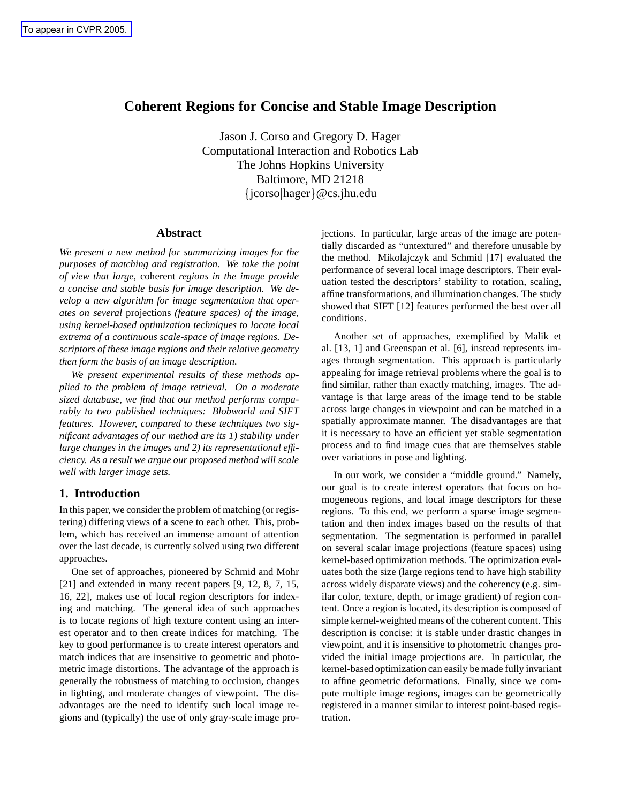# **Coherent Regions for Concise and Stable Image Description**

Jason J. Corso and Gregory D. Hager Computational Interaction and Robotics Lab The Johns Hopkins University Baltimore, MD 21218 {jcorso|hager}@cs.jhu.edu

### **Abstract**

*We present a new method for summarizing images for the purposes of matching and registration. We take the point of view that large,* coherent *regions in the image provide a concise and stable basis for image description. We develop a new algorithm for image segmentation that operates on several* projections *(feature spaces) of the image, using kernel-based optimization techniques to locate local extrema of a continuous scale-space of image regions. Descriptors of these image regions and their relative geometry then form the basis of an image description.*

*We present experimental results of these methods applied to the problem of image retrieval. On a moderate sized database, we find that our method performs comparably to two published techniques: Blobworld and SIFT features. However, compared to these techniques two significant advantages of our method are its 1) stability under large changes in the images and 2) its representational efficiency. As a result we argue our proposed method will scale well with larger image sets.*

# **1. Introduction**

In this paper, we consider the problem of matching (or registering) differing views of a scene to each other. This, problem, which has received an immense amount of attention over the last decade, is currently solved using two different approaches.

One set of approaches, pioneered by Schmid and Mohr [21] and extended in many recent papers [9, 12, 8, 7, 15, 16, 22], makes use of local region descriptors for indexing and matching. The general idea of such approaches is to locate regions of high texture content using an interest operator and to then create indices for matching. The key to good performance is to create interest operators and match indices that are insensitive to geometric and photometric image distortions. The advantage of the approach is generally the robustness of matching to occlusion, changes in lighting, and moderate changes of viewpoint. The disadvantages are the need to identify such local image regions and (typically) the use of only gray-scale image projections. In particular, large areas of the image are potentially discarded as "untextured" and therefore unusable by the method. Mikolajczyk and Schmid [17] evaluated the performance of several local image descriptors. Their evaluation tested the descriptors' stability to rotation, scaling, affine transformations, and illumination changes. The study showed that SIFT [12] features performed the best over all conditions.

Another set of approaches, exemplified by Malik et al. [13, 1] and Greenspan et al. [6], instead represents images through segmentation. This approach is particularly appealing for image retrieval problems where the goal is to find similar, rather than exactly matching, images. The advantage is that large areas of the image tend to be stable across large changes in viewpoint and can be matched in a spatially approximate manner. The disadvantages are that it is necessary to have an efficient yet stable segmentation process and to find image cues that are themselves stable over variations in pose and lighting.

In our work, we consider a "middle ground." Namely, our goal is to create interest operators that focus on homogeneous regions, and local image descriptors for these regions. To this end, we perform a sparse image segmentation and then index images based on the results of that segmentation. The segmentation is performed in parallel on several scalar image projections (feature spaces) using kernel-based optimization methods. The optimization evaluates both the size (large regions tend to have high stability across widely disparate views) and the coherency (e.g. similar color, texture, depth, or image gradient) of region content. Once a region is located, its description is composed of simple kernel-weighted means of the coherent content. This description is concise: it is stable under drastic changes in viewpoint, and it is insensitive to photometric changes provided the initial image projections are. In particular, the kernel-based optimization can easily be made fully invariant to affine geometric deformations. Finally, since we compute multiple image regions, images can be geometrically registered in a manner similar to interest point-based registration.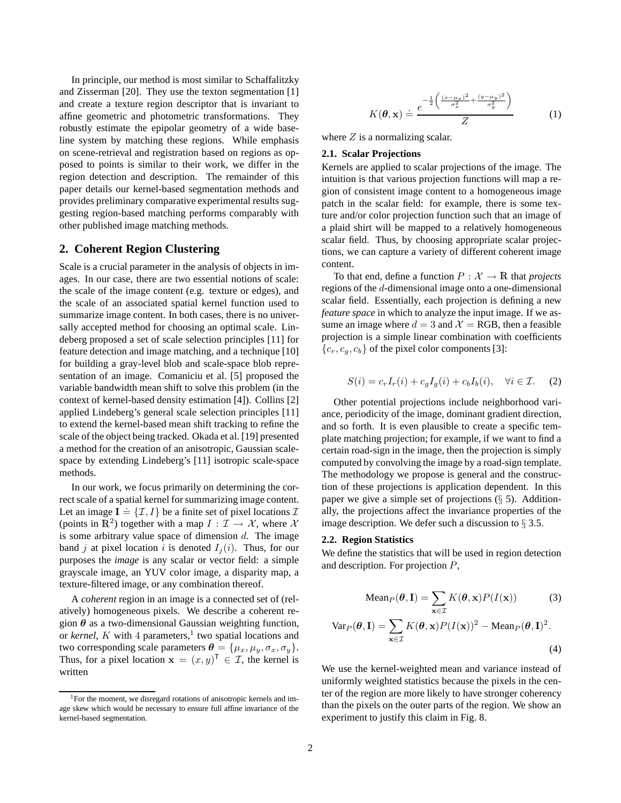In principle, our method is most similar to Schaffalitzky and Zisserman [20]. They use the texton segmentation [1] and create a texture region descriptor that is invariant to affine geometric and photometric transformations. They robustly estimate the epipolar geometry of a wide baseline system by matching these regions. While emphasis on scene-retrieval and registration based on regions as opposed to points is similar to their work, we differ in the region detection and description. The remainder of this paper details our kernel-based segmentation methods and provides preliminary comparative experimental results suggesting region-based matching performs comparably with other published image matching methods.

### **2. Coherent Region Clustering**

Scale is a crucial parameter in the analysis of objects in images. In our case, there are two essential notions of scale: the scale of the image content (e.g. texture or edges), and the scale of an associated spatial kernel function used to summarize image content. In both cases, there is no universally accepted method for choosing an optimal scale. Lindeberg proposed a set of scale selection principles [11] for feature detection and image matching, and a technique [10] for building a gray-level blob and scale-space blob representation of an image. Comaniciu et al. [5] proposed the variable bandwidth mean shift to solve this problem (in the context of kernel-based density estimation [4]). Collins [2] applied Lindeberg's general scale selection principles [11] to extend the kernel-based mean shift tracking to refine the scale of the object being tracked. Okada et al. [19] presented a method for the creation of an anisotropic, Gaussian scalespace by extending Lindeberg's [11] isotropic scale-space methods.

In our work, we focus primarily on determining the correct scale of a spatial kernel for summarizing image content. Let an image  $I = \{I, I\}$  be a finite set of pixel locations  $I$ (points in  $\mathbb{R}^2$ ) together with a map  $I : \mathcal{I} \to \mathcal{X}$ , where  $\mathcal{X}$ is some arbitrary value space of dimension  $d$ . The image band j at pixel location i is denoted  $I_i(i)$ . Thus, for our purposes the *image* is any scalar or vector field: a simple grayscale image, an YUV color image, a disparity map, a texture-filtered image, or any combination thereof.

A *coherent* region in an image is a connected set of (relatively) homogeneous pixels. We describe a coherent region  $\theta$  as a two-dimensional Gaussian weighting function, or *kernel*, *K* with 4 parameters,<sup>1</sup> two spatial locations and two corresponding scale parameters  $\boldsymbol{\theta} = {\mu_x, \mu_y, \sigma_x, \sigma_y}.$ Thus, for a pixel location  $\mathbf{x} = (x, y)^\mathsf{T} \in \mathcal{I}$ , the kernel is written

$$
K(\boldsymbol{\theta}, \mathbf{x}) \doteq \frac{e^{-\frac{1}{2} \left( \frac{(x-\mu_x)^2}{\sigma_x^2} + \frac{(y-\mu_y)^2}{\sigma_y^2} \right)}}{Z}
$$
(1)

where  $Z$  is a normalizing scalar.

#### **2.1. Scalar Projections**

Kernels are applied to scalar projections of the image. The intuition is that various projection functions will map a region of consistent image content to a homogeneous image patch in the scalar field: for example, there is some texture and/or color projection function such that an image of a plaid shirt will be mapped to a relatively homogeneous scalar field. Thus, by choosing appropriate scalar projections, we can capture a variety of different coherent image content.

To that end, define a function  $P : \mathcal{X} \to \mathbb{R}$  that *projects* regions of the d-dimensional image onto a one-dimensional scalar field. Essentially, each projection is defining a new *feature space* in which to analyze the input image. If we assume an image where  $d = 3$  and  $\mathcal{X} = \text{RGB}$ , then a feasible projection is a simple linear combination with coefficients  $\{c_r, c_g, c_b\}$  of the pixel color components [3]:

$$
S(i) = c_r I_r(i) + c_g I_g(i) + c_b I_b(i), \quad \forall i \in \mathcal{I}.
$$
 (2)

Other potential projections include neighborhood variance, periodicity of the image, dominant gradient direction, and so forth. It is even plausible to create a specific template matching projection; for example, if we want to find a certain road-sign in the image, then the projection is simply computed by convolving the image by a road-sign template. The methodology we propose is general and the construction of these projections is application dependent. In this paper we give a simple set of projections (§ 5). Additionally, the projections affect the invariance properties of the image description. We defer such a discussion to  $\S 3.5$ .

#### **2.2. Region Statistics**

We define the statistics that will be used in region detection and description. For projection P,

Mean<sub>P</sub>(
$$
\boldsymbol{\theta}, \mathbf{I}
$$
) =  $\sum_{\mathbf{x} \in \mathcal{I}} K(\boldsymbol{\theta}, \mathbf{x}) P(I(\mathbf{x}))$  (3)  
Var<sub>P</sub>( $\boldsymbol{\theta}, \mathbf{I}$ ) =  $\sum_{\mathbf{x} \in \mathcal{I}} K(\boldsymbol{\theta}, \mathbf{x}) P(I(\mathbf{x}))^2$  - Mean<sub>P</sub>( $\boldsymbol{\theta}, \mathbf{I}$ )<sup>2</sup>. (4)

We use the kernel-weighted mean and variance instead of uniformly weighted statistics because the pixels in the center of the region are more likely to have stronger coherency than the pixels on the outer parts of the region. We show an experiment to justify this claim in Fig. 8.

<sup>&</sup>lt;sup>1</sup>For the moment, we disregard rotations of anisotropic kernels and image skew which would be necessary to ensure full affine invariance of the kernel-based segmentation.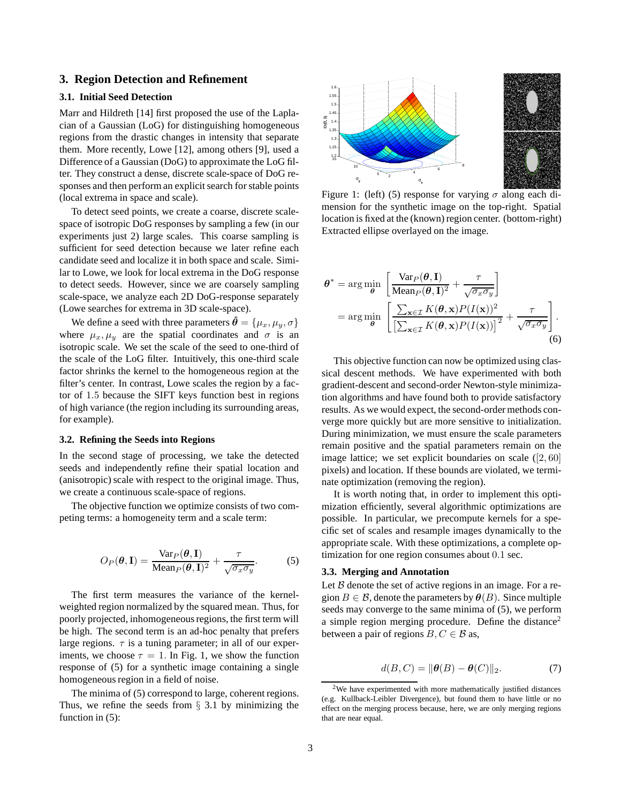## **3. Region Detection and Refinement**

### **3.1. Initial Seed Detection**

Marr and Hildreth [14] first proposed the use of the Laplacian of a Gaussian (LoG) for distinguishing homogeneous regions from the drastic changes in intensity that separate them. More recently, Lowe [12], among others [9], used a Difference of a Gaussian (DoG) to approximate the LoG filter. They construct a dense, discrete scale-space of DoG responses and then perform an explicit search for stable points (local extrema in space and scale).

To detect seed points, we create a coarse, discrete scalespace of isotropic DoG responses by sampling a few (in our experiments just 2) large scales. This coarse sampling is sufficient for seed detection because we later refine each candidate seed and localize it in both space and scale. Similar to Lowe, we look for local extrema in the DoG response to detect seeds. However, since we are coarsely sampling scale-space, we analyze each 2D DoG-response separately (Lowe searches for extrema in 3D scale-space).

We define a seed with three parameters  $\hat{\theta} = {\mu_x, \mu_y, \sigma}$ where  $\mu_x, \mu_y$  are the spatial coordinates and  $\sigma$  is an isotropic scale. We set the scale of the seed to one-third of the scale of the LoG filter. Intuitively, this one-third scale factor shrinks the kernel to the homogeneous region at the filter's center. In contrast, Lowe scales the region by a factor of 1.5 because the SIFT keys function best in regions of high variance (the region including its surrounding areas, for example).

### **3.2. Refining the Seeds into Regions**

In the second stage of processing, we take the detected seeds and independently refine their spatial location and (anisotropic) scale with respect to the original image. Thus, we create a continuous scale-space of regions.

The objective function we optimize consists of two competing terms: a homogeneity term and a scale term:

$$
O_P(\boldsymbol{\theta}, \mathbf{I}) = \frac{\text{Var}_P(\boldsymbol{\theta}, \mathbf{I})}{\text{Mean}_P(\boldsymbol{\theta}, \mathbf{I})^2} + \frac{\tau}{\sqrt{\sigma_x \sigma_y}}.
$$
 (5)

The first term measures the variance of the kernelweighted region normalized by the squared mean. Thus, for poorly projected, inhomogeneous regions, the first term will be high. The second term is an ad-hoc penalty that prefers large regions.  $\tau$  is a tuning parameter; in all of our experiments, we choose  $\tau = 1$ . In Fig. 1, we show the function response of (5) for a synthetic image containing a single homogeneous region in a field of noise.

The minima of (5) correspond to large, coherent regions. Thus, we refine the seeds from  $\S$  3.1 by minimizing the function in  $(5)$ :



Figure 1: (left) (5) response for varying  $\sigma$  along each dimension for the synthetic image on the top-right. Spatial location is fixed at the (known) region center. (bottom-right) Extracted ellipse overlayed on the image.

$$
\theta^* = \arg\min_{\theta} \left[ \frac{\text{Var}_P(\theta, \mathbf{I})}{\text{Mean}_P(\theta, \mathbf{I})^2} + \frac{\tau}{\sqrt{\sigma_x \sigma_y}} \right]
$$

$$
= \arg\min_{\theta} \left[ \frac{\sum_{\mathbf{x} \in \mathcal{I}} K(\theta, \mathbf{x}) P(I(\mathbf{x}))^2}{\left[ \sum_{\mathbf{x} \in \mathcal{I}} K(\theta, \mathbf{x}) P(I(\mathbf{x})) \right]^2} + \frac{\tau}{\sqrt{\sigma_x \sigma_y}} \right].
$$
(6)

This objective function can now be optimized using classical descent methods. We have experimented with both gradient-descent and second-order Newton-style minimization algorithms and have found both to provide satisfactory results. As we would expect, the second-order methods converge more quickly but are more sensitive to initialization. During minimization, we must ensure the scale parameters remain positive and the spatial parameters remain on the image lattice; we set explicit boundaries on scale  $(2, 60]$ pixels) and location. If these bounds are violated, we terminate optimization (removing the region).

It is worth noting that, in order to implement this optimization efficiently, several algorithmic optimizations are possible. In particular, we precompute kernels for a specific set of scales and resample images dynamically to the appropriate scale. With these optimizations, a complete optimization for one region consumes about 0.1 sec.

#### **3.3. Merging and Annotation**

Let  $\beta$  denote the set of active regions in an image. For a region  $B \in \mathcal{B}$ , denote the parameters by  $\theta(B)$ . Since multiple seeds may converge to the same minima of (5), we perform a simple region merging procedure. Define the distance<sup>2</sup> between a pair of regions  $B, C \in \mathcal{B}$  as,

$$
d(B, C) = ||\boldsymbol{\theta}(B) - \boldsymbol{\theta}(C)||_2.
$$
 (7)

<sup>&</sup>lt;sup>2</sup>We have experimented with more mathematically justified distances (e.g. Kullback-Leibler Divergence), but found them to have little or no effect on the merging process because, here, we are only merging regions that are near equal.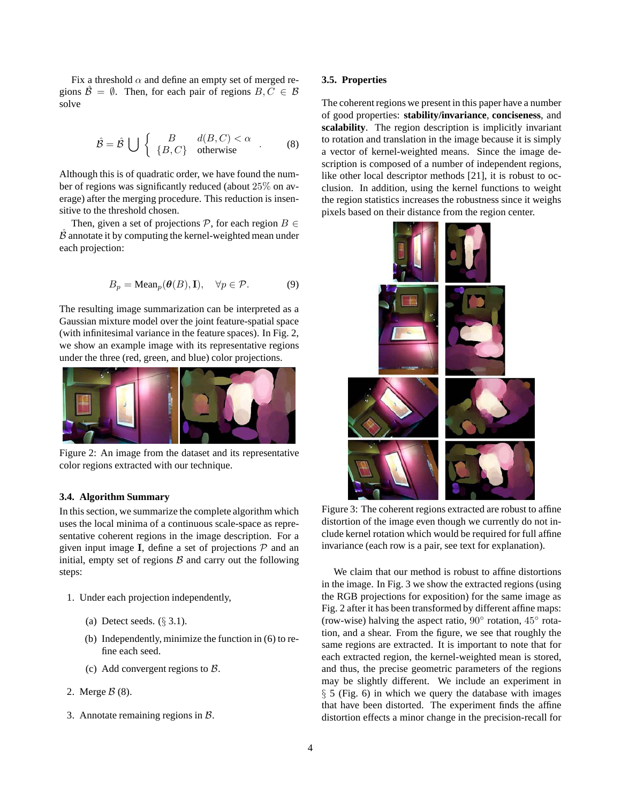Fix a threshold  $\alpha$  and define an empty set of merged regions  $\hat{\mathcal{B}} = \emptyset$ . Then, for each pair of regions  $B, C \in \mathcal{B}$ solve

$$
\hat{\mathcal{B}} = \hat{\mathcal{B}} \bigcup \left\{ \begin{array}{cc} B & d(B, C) < \alpha \\ \{B, C\} & \text{otherwise} \end{array} \right. \tag{8}
$$

Although this is of quadratic order, we have found the number of regions was significantly reduced (about 25% on average) after the merging procedure. This reduction is insensitive to the threshold chosen.

Then, given a set of projections  $P$ , for each region  $B \in$  $\hat{\beta}$  annotate it by computing the kernel-weighted mean under each projection:

$$
B_p = \text{Mean}_p(\theta(B), \mathbf{I}), \quad \forall p \in \mathcal{P}.
$$
 (9)

The resulting image summarization can be interpreted as a Gaussian mixture model over the joint feature-spatial space (with infinitesimal variance in the feature spaces). In Fig. 2, we show an example image with its representative regions under the three (red, green, and blue) color projections.



Figure 2: An image from the dataset and its representative color regions extracted with our technique.

### **3.4. Algorithm Summary**

In this section, we summarize the complete algorithm which uses the local minima of a continuous scale-space as representative coherent regions in the image description. For a given input image I, define a set of projections  $P$  and an initial, empty set of regions  $\beta$  and carry out the following steps:

- 1. Under each projection independently,
	- (a) Detect seeds.  $(\S 3.1)$ .
	- (b) Independently, minimize the function in (6) to refine each seed.
	- (c) Add convergent regions to  $\beta$ .
- 2. Merge  $\beta$  (8).
- 3. Annotate remaining regions in B.

#### **3.5. Properties**

The coherent regions we present in this paper have a number of good properties: **stability/invariance**, **conciseness**, and **scalability**. The region description is implicitly invariant to rotation and translation in the image because it is simply a vector of kernel-weighted means. Since the image description is composed of a number of independent regions, like other local descriptor methods [21], it is robust to occlusion. In addition, using the kernel functions to weight the region statistics increases the robustness since it weighs pixels based on their distance from the region center.



Figure 3: The coherent regions extracted are robust to affine distortion of the image even though we currently do not include kernel rotation which would be required for full affine invariance (each row is a pair, see text for explanation).

We claim that our method is robust to affine distortions in the image. In Fig. 3 we show the extracted regions (using the RGB projections for exposition) for the same image as Fig. 2 after it has been transformed by different affine maps: (row-wise) halving the aspect ratio,  $90^\circ$  rotation,  $45^\circ$  rotation, and a shear. From the figure, we see that roughly the same regions are extracted. It is important to note that for each extracted region, the kernel-weighted mean is stored, and thus, the precise geometric parameters of the regions may be slightly different. We include an experiment in § 5 (Fig. 6) in which we query the database with images that have been distorted. The experiment finds the affine distortion effects a minor change in the precision-recall for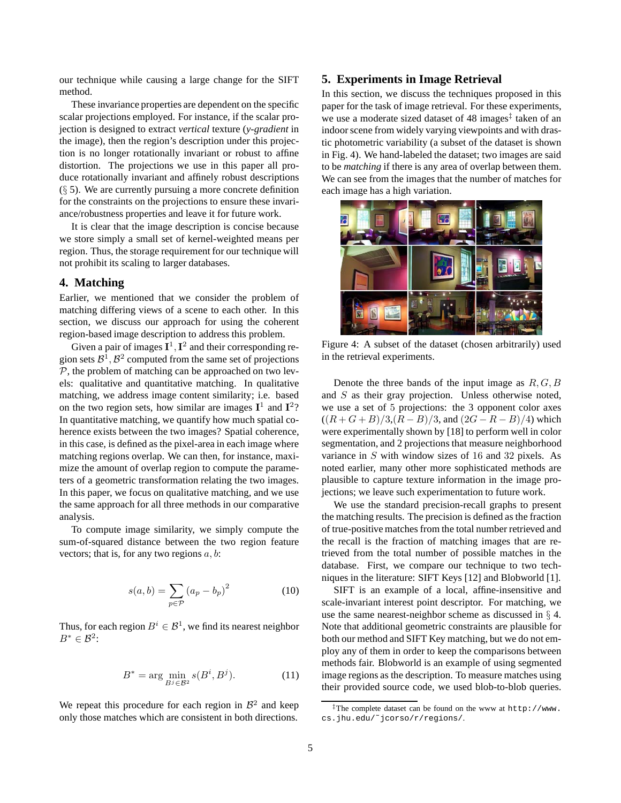our technique while causing a large change for the SIFT method.

These invariance properties are dependent on the specific scalar projections employed. For instance, if the scalar projection is designed to extract *vertical* texture (*y-gradient* in the image), then the region's description under this projection is no longer rotationally invariant or robust to affine distortion. The projections we use in this paper all produce rotationally invariant and affinely robust descriptions  $(\S$  5). We are currently pursuing a more concrete definition for the constraints on the projections to ensure these invariance/robustness properties and leave it for future work.

It is clear that the image description is concise because we store simply a small set of kernel-weighted means per region. Thus, the storage requirement for our technique will not prohibit its scaling to larger databases.

## **4. Matching**

Earlier, we mentioned that we consider the problem of matching differing views of a scene to each other. In this section, we discuss our approach for using the coherent region-based image description to address this problem.

Given a pair of images  $I^1$ ,  $I^2$  and their corresponding region sets  $\mathcal{B}^1$ ,  $\mathcal{B}^2$  computed from the same set of projections  $P$ , the problem of matching can be approached on two levels: qualitative and quantitative matching. In qualitative matching, we address image content similarity; i.e. based on the two region sets, how similar are images  $I^1$  and  $I^2$ ? In quantitative matching, we quantify how much spatial coherence exists between the two images? Spatial coherence, in this case, is defined as the pixel-area in each image where matching regions overlap. We can then, for instance, maximize the amount of overlap region to compute the parameters of a geometric transformation relating the two images. In this paper, we focus on qualitative matching, and we use the same approach for all three methods in our comparative analysis.

To compute image similarity, we simply compute the sum-of-squared distance between the two region feature vectors; that is, for any two regions  $a, b$ :

$$
s(a,b) = \sum_{p \in \mathcal{P}} (a_p - b_p)^2
$$
 (10)

Thus, for each region  $B^i \in \mathcal{B}^1$ , we find its nearest neighbor  $B^* \in \mathcal{B}^2$ :

$$
B^* = \arg\min_{B^j \in \mathcal{B}^2} s(B^i, B^j). \tag{11}
$$

We repeat this procedure for each region in  $\mathcal{B}^2$  and keep only those matches which are consistent in both directions.

# **5. Experiments in Image Retrieval**

In this section, we discuss the techniques proposed in this paper for the task of image retrieval. For these experiments, we use a moderate sized dataset of 48 images<sup>‡</sup> taken of an indoor scene from widely varying viewpoints and with drastic photometric variability (a subset of the dataset is shown in Fig. 4). We hand-labeled the dataset; two images are said to be *matching* if there is any area of overlap between them. We can see from the images that the number of matches for each image has a high variation.



Figure 4: A subset of the dataset (chosen arbitrarily) used in the retrieval experiments.

Denote the three bands of the input image as  $R, G, B$ and S as their gray projection. Unless otherwise noted, we use a set of 5 projections: the 3 opponent color axes  $((R+G+B)/3,(R-B)/3,$  and  $(2G-R-B)/4$ ) which were experimentally shown by [18] to perform well in color segmentation, and 2 projections that measure neighborhood variance in S with window sizes of 16 and 32 pixels. As noted earlier, many other more sophisticated methods are plausible to capture texture information in the image projections; we leave such experimentation to future work.

We use the standard precision-recall graphs to present the matching results. The precision is defined as the fraction of true-positive matches from the total number retrieved and the recall is the fraction of matching images that are retrieved from the total number of possible matches in the database. First, we compare our technique to two techniques in the literature: SIFT Keys [12] and Blobworld [1].

SIFT is an example of a local, affine-insensitive and scale-invariant interest point descriptor. For matching, we use the same nearest-neighbor scheme as discussed in § 4. Note that additional geometric constraints are plausible for both our method and SIFT Key matching, but we do not employ any of them in order to keep the comparisons between methods fair. Blobworld is an example of using segmented image regions as the description. To measure matches using their provided source code, we used blob-to-blob queries.

<sup>‡</sup>The complete dataset can be found on the www at http://www. cs.jhu.edu/˜jcorso/r/regions/.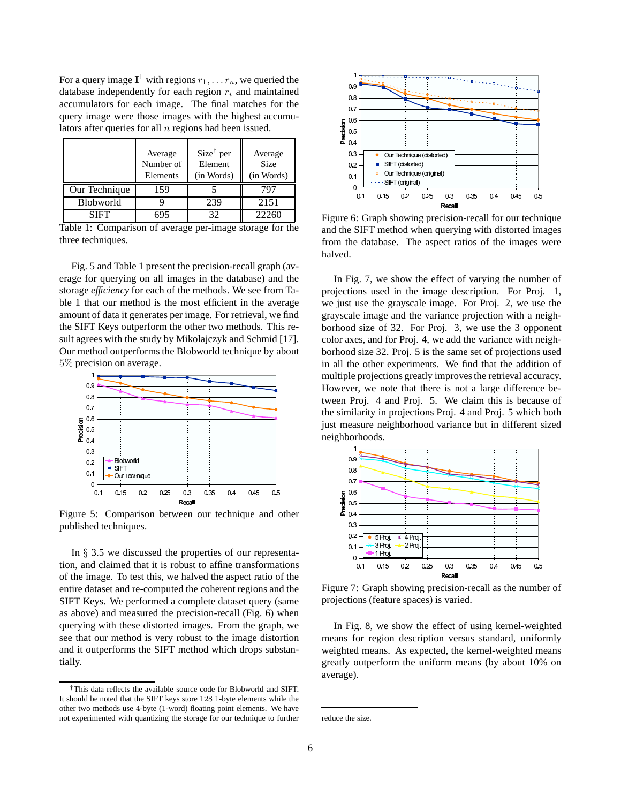For a query image  $\mathbf{I}^1$  with regions  $r_1, \ldots r_n$ , we queried the database independently for each region  $r_i$  and maintained accumulators for each image. The final matches for the query image were those images with the highest accumulators after queries for all  $n$  regions had been issued.

|               | Average<br>Number of<br>Elements | $Size^{\dagger}$ per<br>Element<br>(in Words) | Average<br><b>Size</b><br>(in Words) |
|---------------|----------------------------------|-----------------------------------------------|--------------------------------------|
| Our Technique | 159                              |                                               | 797                                  |
| Blobworld     |                                  | 239                                           | 2151                                 |
| SIFT          |                                  | 32                                            | 22260                                |

Table 1: Comparison of average per-image storage for the three techniques.

Fig. 5 and Table 1 present the precision-recall graph (average for querying on all images in the database) and the storage *efficiency* for each of the methods. We see from Table 1 that our method is the most efficient in the average amount of data it generates per image. For retrieval, we find the SIFT Keys outperform the other two methods. This result agrees with the study by Mikolajczyk and Schmid [17]. Our method outperforms the Blobworld technique by about 5% precision on average.



Figure 5: Comparison between our technique and other published techniques.

In  $\S$  3.5 we discussed the properties of our representation, and claimed that it is robust to affine transformations of the image. To test this, we halved the aspect ratio of the entire dataset and re-computed the coherent regions and the SIFT Keys. We performed a complete dataset query (same as above) and measured the precision-recall (Fig. 6) when querying with these distorted images. From the graph, we see that our method is very robust to the image distortion and it outperforms the SIFT method which drops substantially.



Figure 6: Graph showing precision-recall for our technique and the SIFT method when querying with distorted images from the database. The aspect ratios of the images were halved.

In Fig. 7, we show the effect of varying the number of projections used in the image description. For Proj. 1, we just use the grayscale image. For Proj. 2, we use the grayscale image and the variance projection with a neighborhood size of 32. For Proj. 3, we use the 3 opponent color axes, and for Proj. 4, we add the variance with neighborhood size 32. Proj. 5 is the same set of projections used in all the other experiments. We find that the addition of multiple projections greatly improves the retrieval accuracy. However, we note that there is not a large difference between Proj. 4 and Proj. 5. We claim this is because of the similarity in projections Proj. 4 and Proj. 5 which both just measure neighborhood variance but in different sized neighborhoods.



Figure 7: Graph showing precision-recall as the number of projections (feature spaces) is varied.

In Fig. 8, we show the effect of using kernel-weighted means for region description versus standard, uniformly weighted means. As expected, the kernel-weighted means greatly outperform the uniform means (by about 10% on average).

<sup>†</sup>This data reflects the available source code for Blobworld and SIFT. It should be noted that the SIFT keys store 128 1-byte elements while the other two methods use 4-byte (1-word) floating point elements. We have not experimented with quantizing the storage for our technique to further

reduce the size.